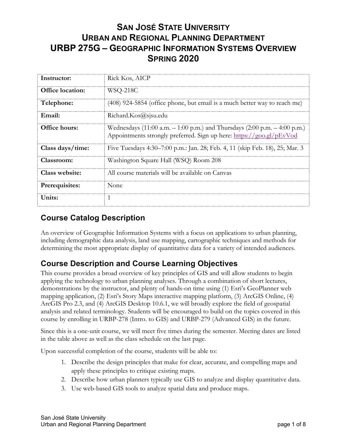# **SAN JOSÉ STATE UNIVERSITY URBAN AND REGIONAL PLANNING DEPARTMENT URBP 275G – GEOGRAPHIC INFORMATION SYSTEMS OVERVIEW SPRING 2020**

| Instructor:             | Rick Kos, AICP                                                                                                                                    |
|-------------------------|---------------------------------------------------------------------------------------------------------------------------------------------------|
| <b>Office</b> location: | WSQ-218C                                                                                                                                          |
| Telephone:              | (408) 924-5854 (office phone, but email is a much better way to reach me)                                                                         |
| Email:                  | Richard.Kos@sjsu.edu                                                                                                                              |
| Office hours:           | Wednesdays (11:00 a.m. - 1:00 p.m.) and Thursdays (2:00 p.m. - 4:00 p.m.)<br>Appointments strongly preferred. Sign up here: https://goo.gl/pEvVod |
| Class days/time:        | Five Tuesdays 4:30–7:00 p.m.: Jan. 28; Feb. 4, 11 (skip Feb. 18), 25; Mar. 3                                                                      |
| Classroom:              | Washington Square Hall (WSQ) Room 208                                                                                                             |
| Class website:          | All course materials will be available on Canvas                                                                                                  |
| Prerequisites:          | None                                                                                                                                              |
| Units:                  |                                                                                                                                                   |

## **Course Catalog Description**

An overview of Geographic Information Systems with a focus on applications to urban planning, including demographic data analysis, land use mapping, cartographic techniques and methods for determining the most appropriate display of quantitative data for a variety of intended audiences.

# **Course Description and Course Learning Objectives**

This course provides a broad overview of key principles of GIS and will allow students to begin applying the technology to urban planning analyses. Through a combination of short lectures, demonstrations by the instructor, and plenty of hands-on time using (1) Esri's GeoPlanner web mapping application, (2) Esri's Story Maps interactive mapping platform, (3) ArcGIS Online, (4) ArcGIS Pro 2.3, and (4) ArcGIS Desktop 10.6.1, we will broadly explore the field of geospatial analysis and related terminology. Students will be encouraged to build on the topics covered in this course by enrolling in URBP-278 (Intro. to GIS) and URBP-279 (Advanced GIS) in the future.

Since this is a one-unit course, we will meet five times during the semester. Meeting dates are listed in the table above as well as the class schedule on the last page.

Upon successful completion of the course, students will be able to:

- 1. Describe the design principles that make for clear, accurate, and compelling maps and apply these principles to critique existing maps.
- 2. Describe how urban planners typically use GIS to analyze and display quantitative data.
- 3. Use web-based GIS tools to analyze spatial data and produce maps.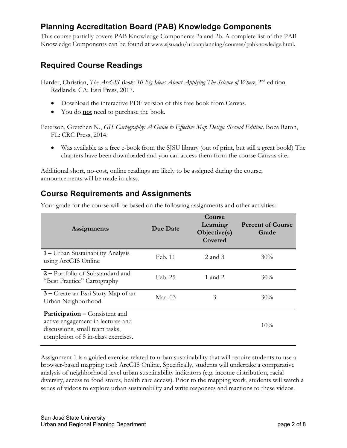## **Planning Accreditation Board (PAB) Knowledge Components**

This course partially covers PAB Knowledge Components 2a and 2b. A complete list of the PAB Knowledge Components can be found at www.sjsu.edu/urbanplanning/courses/pabknowledge.html.

## **Required Course Readings**

Harder, Christian, *The ArcGIS Book: 10 Big Ideas About Applying The Science of Where*, 2<sup>nd</sup> edition. Redlands, CA: Esri Press, 2017.

- Download the interactive PDF version of this free book from Canvas.
- You do **not** need to purchase the book.

Peterson, Gretchen N., *GIS Cartography: A Guide to Effective Map Design (Second Edition*. Boca Raton, FL: CRC Press, 2014.

• Was available as a free e-book from the SJSU library (out of print, but still a great book!) The chapters have been downloaded and you can access them from the course Canvas site.

Additional short, no-cost, online readings are likely to be assigned during the course; announcements will be made in class.

# **Course Requirements and Assignments**

Your grade for the course will be based on the following assignments and other activities:

| Assignments                                                                                                                                         | Due Date | Course<br>Learning<br>Objective(s)<br>Covered | <b>Percent of Course</b><br>Grade |
|-----------------------------------------------------------------------------------------------------------------------------------------------------|----------|-----------------------------------------------|-----------------------------------|
| 1 – Urban Sustainability Analysis<br>using ArcGIS Online                                                                                            | Feb. 11  | 2 and 3                                       | $30\%$                            |
| 2 – Portfolio of Substandard and<br>"Best Practice" Cartography                                                                                     | Feb. 25  | 1 and 2                                       | $30\%$                            |
| 3 – Create an Esri Story Map of an<br>Urban Neighborhood                                                                                            | Mar. 03  | 3                                             | $30\%$                            |
| <b>Participation – Consistent and</b><br>active engagement in lectures and<br>discussions, small team tasks,<br>completion of 5 in-class exercises. |          |                                               | $10\%$                            |

Assignment 1 is a guided exercise related to urban sustainability that will require students to use a browser-based mapping tool: ArcGIS Online. Specifically, students will undertake a comparative analysis of neighborhood-level urban sustainability indicators (e.g. income distribution, racial diversity, access to food stores, health care access). Prior to the mapping work, students will watch a series of videos to explore urban sustainability and write responses and reactions to these videos.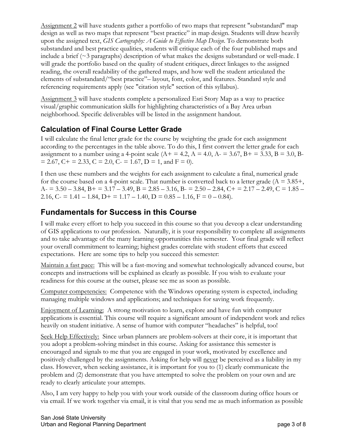Assignment 2 will have students gather a portfolio of two maps that represent "substandard" map design as well as two maps that represent "best practice" in map design. Students will draw heavily upon the assigned text, *GIS Cartography: A Guide to Effective Map Design*. To demonstrate both substandard and best practice qualities, students will critique each of the four published maps and include a brief  $(\sim$ 3 paragraphs) description of what makes the designs substandard or well-made. I will grade the portfolio based on the quality of student critiques, direct linkages to the assigned reading, the overall readability of the gathered maps, and how well the student articulated the elements of substandard/"best practice"– layout, font, color, and features. Standard style and referencing requirements apply (see "citation style" section of this syllabus).

Assignment 3 will have students complete a personalized Esri Story Map as a way to practice visual/graphic communication skills for highlighting characteristics of a Bay Area urban neighborhood. Specific deliverables will be listed in the assignment handout.

## **Calculation of Final Course Letter Grade**

I will calculate the final letter grade for the course by weighting the grade for each assignment according to the percentages in the table above. To do this, I first convert the letter grade for each assignment to a number using a 4-point scale  $(A + 4.2, A = 4.0, A = 3.67, B = 3.33, B = 3.0, B = 3.0, B = 3.0, B = 3.0, B = 3.0, B = 3.0, B = 3.0, B = 3.0, B = 3.0, B = 3.0, B = 3.0, B = 3.0, B = 3.0, B = 3.0, B = 3.0, B = 3.0, B = 3.0, B = 3.0, B = 3.0, B = 3.0, B = 3.$  $= 2.67$ ,  $C + 2.33$ ,  $C = 2.0$ ,  $C = 1.67$ ,  $D = 1$ , and  $F = 0$ ).

I then use these numbers and the weights for each assignment to calculate a final, numerical grade for the course based on a 4-point scale. That number is converted back to a letter grade  $(A = 3.85 +$ ,  $A_7 = 3.50 - 3.84$ ,  $B_7 = 3.17 - 3.49$ ,  $B = 2.85 - 3.16$ ,  $B_7 = 2.50 - 2.84$ ,  $C_7 = 2.17 - 2.49$ ,  $C = 1.85 - 2.16$ 2.16, C- = 1.41 – 1.84, D+ = 1.17 – 1.40, D =  $0.85 - 1.16$ , F =  $0 - 0.84$ ).

#### **Fundamentals for Success in this Course**

I will make every effort to help you succeed in this course so that you deveop a clear understanding of GIS applications to our profession. Naturally, it is your responsibility to complete all assignments and to take advantage of the many learning opportunities this semester. Your final grade will reflect your overall commitment to learning; highest grades correlate with student efforts that exceed expectations. Here are some tips to help you succeed this semester:

Maintain a fast pace: This will be a fast-moving and somewhat technologically advanced course, but concepts and instructions will be explained as clearly as possible. If you wish to evaluate your readiness for this course at the outset, please see me as soon as possible.

Computer competencies: Competence with the Windows operating system is expected, including managing multiple windows and applications; and techniques for saving work frequently.

Enjoyment of Learning: A strong motivation to learn, explore and have fun with computer applications is essential. This course will require a significant amount of independent work and relies heavily on student initiative. A sense of humor with computer "headaches" is helpful, too!

Seek Help Effectively: Since urban planners are problem-solvers at their core, it is important that you adopt a problem-solving mindset in this course. Asking for assistance this semester is encouraged and signals to me that you are engaged in your work, motivated by excellence and positively challenged by the assignments. Asking for help will never be perceived as a liability in my class. However, when seeking assistance, it is important for you to (1) clearly communicate the problem and (2) demonstrate that you have attempted to solve the problem on your own and are ready to clearly articulate your attempts.

Also, I am very happy to help you with your work outside of the classroom during office hours or via email. If we work together via email, it is vital that you send me as much information as possible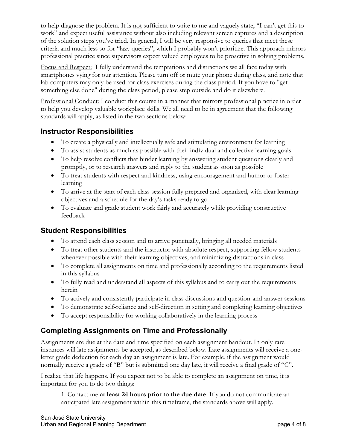to help diagnose the problem. It is not sufficient to write to me and vaguely state, "I can't get this to work" and expect useful assistance without also including relevant screen captures and a description of the solution steps you've tried. In general, I will be very responsive to queries that meet these criteria and much less so for "lazy queries", which I probably won't prioritize. This approach mirrors professional practice since supervisors expect valued employees to be proactive in solving problems.

Focus and Respect: I fully understand the temptations and distractions we all face today with smartphones vying for our attention. Please turn off or mute your phone during class, and note that lab computers may only be used for class exercises during the class period. If you have to "get something else done" during the class period, please step outside and do it elsewhere.

Professional Conduct: I conduct this course in a manner that mirrors professional practice in order to help you develop valuable workplace skills. We all need to be in agreement that the following standards will apply, as listed in the two sections below:

#### **Instructor Responsibilities**

- To create a physically and intellectually safe and stimulating environment for learning
- To assist students as much as possible with their individual and collective learning goals
- To help resolve conflicts that hinder learning by answering student questions clearly and promptly, or to research answers and reply to the student as soon as possible
- To treat students with respect and kindness, using encouragement and humor to foster learning
- To arrive at the start of each class session fully prepared and organized, with clear learning objectives and a schedule for the day's tasks ready to go
- To evaluate and grade student work fairly and accurately while providing constructive feedback

#### **Student Responsibilities**

- To attend each class session and to arrive punctually, bringing all needed materials
- To treat other students and the instructor with absolute respect, supporting fellow students whenever possible with their learning objectives, and minimizing distractions in class
- To complete all assignments on time and professionally according to the requirements listed in this syllabus
- To fully read and understand all aspects of this syllabus and to carry out the requirements herein
- To actively and consistently participate in class discussions and question-and-answer sessions
- To demonstrate self-reliance and self-direction in setting and completing learning objectives
- To accept responsibility for working collaboratively in the learning process

## **Completing Assignments on Time and Professionally**

Assignments are due at the date and time specified on each assignment handout. In only rare instances will late assignments be accepted, as described below. Late assignments will receive a oneletter grade deduction for each day an assignment is late. For example, if the assignment would normally receive a grade of "B" but is submitted one day late, it will receive a final grade of "C".

I realize that life happens. If you expect not to be able to complete an assignment on time, it is important for you to do two things:

1. Contact me **at least 24 hours prior to the due date**. If you do not communicate an anticipated late assignment within this timeframe, the standards above will apply.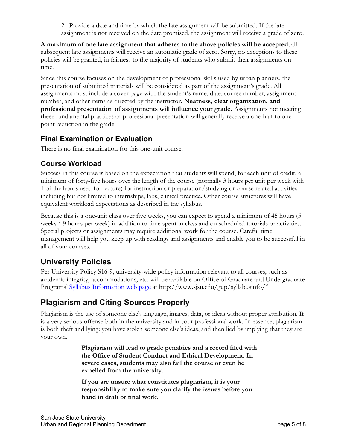2. Provide a date and time by which the late assignment will be submitted. If the late assignment is not received on the date promised, the assignment will receive a grade of zero.

**A maximum of one late assignment that adheres to the above policies will be accepted**; all subsequent late assignments will receive an automatic grade of zero. Sorry, no exceptions to these policies will be granted, in fairness to the majority of students who submit their assignments on time.

Since this course focuses on the development of professional skills used by urban planners, the presentation of submitted materials will be considered as part of the assignment's grade. All assignments must include a cover page with the student's name, date, course number, assignment number, and other items as directed by the instructor. **Neatness, clear organization, and professional presentation of assignments will influence your grade.** Assignments not meeting these fundamental practices of professional presentation will generally receive a one-half to onepoint reduction in the grade.

#### **Final Examination or Evaluation**

There is no final examination for this one-unit course.

#### **Course Workload**

Success in this course is based on the expectation that students will spend, for each unit of credit, a minimum of forty-five hours over the length of the course (normally 3 hours per unit per week with 1 of the hours used for lecture) for instruction or preparation/studying or course related activities including but not limited to internships, labs, clinical practica. Other course structures will have equivalent workload expectations as described in the syllabus.

Because this is a <u>one</u>-unit class over five weeks, you can expect to spend a minimum of 45 hours (5) weeks \* 9 hours per week) in addition to time spent in class and on scheduled tutorials or activities. Special projects or assignments may require additional work for the course. Careful time management will help you keep up with readings and assignments and enable you to be successful in all of your courses.

## **University Policies**

Per University Policy S16-9, university-wide policy information relevant to all courses, such as academic integrity, accommodations, etc. will be available on Office of Graduate and Undergraduate Programs' Syllabus Information web page at http://www.sjsu.edu/gup/syllabusinfo/"

# **Plagiarism and Citing Sources Properly**

Plagiarism is the use of someone else's language, images, data, or ideas without proper attribution. It is a very serious offense both in the university and in your professional work. In essence, plagiarism is both theft and lying: you have stolen someone else's ideas, and then lied by implying that they are your own.

> **Plagiarism will lead to grade penalties and a record filed with the Office of Student Conduct and Ethical Development. In severe cases, students may also fail the course or even be expelled from the university.**

**If you are unsure what constitutes plagiarism, it is your responsibility to make sure you clarify the issues before you hand in draft or final work.**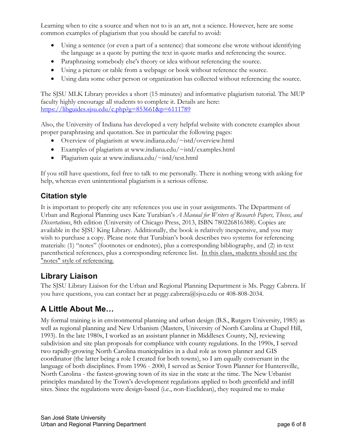Learning when to cite a source and when not to is an art, not a science. However, here are some common examples of plagiarism that you should be careful to avoid:

- Using a sentence (or even a part of a sentence) that someone else wrote without identifying the language as a quote by putting the text in quote marks and referencing the source.
- Paraphrasing somebody else's theory or idea without referencing the source.
- Using a picture or table from a webpage or book without reference the source.
- Using data some other person or organization has collected without referencing the source.

The SJSU MLK Library provides a short (15 minutes) and informative plagiarism tutorial. The MUP faculty highly encourage all students to complete it. Details are here: https://libguides.sjsu.edu/c.php?g=853661&p=6111789

Also, the University of Indiana has developed a very helpful website with concrete examples about proper paraphrasing and quotation. See in particular the following pages:

- Overview of plagiarism at www.indiana.edu/~istd/overview.html
- Examples of plagiarism at www.indiana.edu/~istd/examples.html
- Plagiarism quiz at www.indiana.edu/~istd/test.html

If you still have questions, feel free to talk to me personally. There is nothing wrong with asking for help, whereas even unintentional plagiarism is a serious offense.

#### **Citation style**

It is important to properly cite any references you use in your assignments. The Department of Urban and Regional Planning uses Kate Turabian's *A Manual for Writers of Research Papers, Theses, and Dissertations*, 8th edition (University of Chicago Press, 2013, ISBN 780226816388). Copies are available in the SJSU King Library. Additionally, the book is relatively inexpensive, and you may wish to purchase a copy. Please note that Turabian's book describes two systems for referencing materials: (1) "notes" (footnotes or endnotes), plus a corresponding bibliography, and (2) in-text parenthetical references, plus a corresponding reference list. In this class, students should use the "notes" style of referencing.

# **Library Liaison**

The SJSU Library Liaison for the Urban and Regional Planning Department is Ms. Peggy Cabrera. If you have questions, you can contact her at peggy.cabrera@sjsu.edu or 408-808-2034.

# **A Little About Me…**

My formal training is in environmental planning and urban design (B.S., Rutgers University, 1985) as well as regional planning and New Urbanism (Masters, University of North Carolina at Chapel Hill, 1993). In the late 1980s, I worked as an assistant planner in Middlesex County, NJ, reviewing subdivision and site plan proposals for compliance with county regulations. In the 1990s, I served two rapidly-growing North Carolina municipalities in a dual role as town planner and GIS coordinator (the latter being a role I created for both towns), so I am equally conversant in the language of both disciplines. From 1996 - 2000, I served as Senior Town Planner for Huntersville, North Carolina - the fastest-growing town of its size in the state at the time. The New Urbanist principles mandated by the Town's development regulations applied to both greenfield and infill sites. Since the regulations were design-based (i.e., non-Euclidean), they required me to make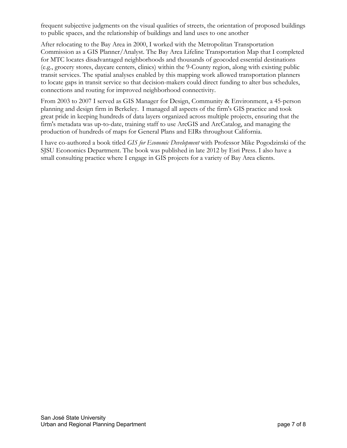frequent subjective judgments on the visual qualities of streets, the orientation of proposed buildings to public spaces, and the relationship of buildings and land uses to one another

After relocating to the Bay Area in 2000, I worked with the Metropolitan Transportation Commission as a GIS Planner/Analyst. The Bay Area Lifeline Transportation Map that I completed for MTC locates disadvantaged neighborhoods and thousands of geocoded essential destinations (e.g., grocery stores, daycare centers, clinics) within the 9-County region, along with existing public transit services. The spatial analyses enabled by this mapping work allowed transportation planners to locate gaps in transit service so that decision-makers could direct funding to alter bus schedules, connections and routing for improved neighborhood connectivity.

From 2003 to 2007 I served as GIS Manager for Design, Community & Environment, a 45-person planning and design firm in Berkeley. I managed all aspects of the firm's GIS practice and took great pride in keeping hundreds of data layers organized across multiple projects, ensuring that the firm's metadata was up-to-date, training staff to use ArcGIS and ArcCatalog, and managing the production of hundreds of maps for General Plans and EIRs throughout California.

I have co-authored a book titled *GIS for Economic Development* with Professor Mike Pogodzinski of the SJSU Economics Department. The book was published in late 2012 by Esri Press. I also have a small consulting practice where I engage in GIS projects for a variety of Bay Area clients.